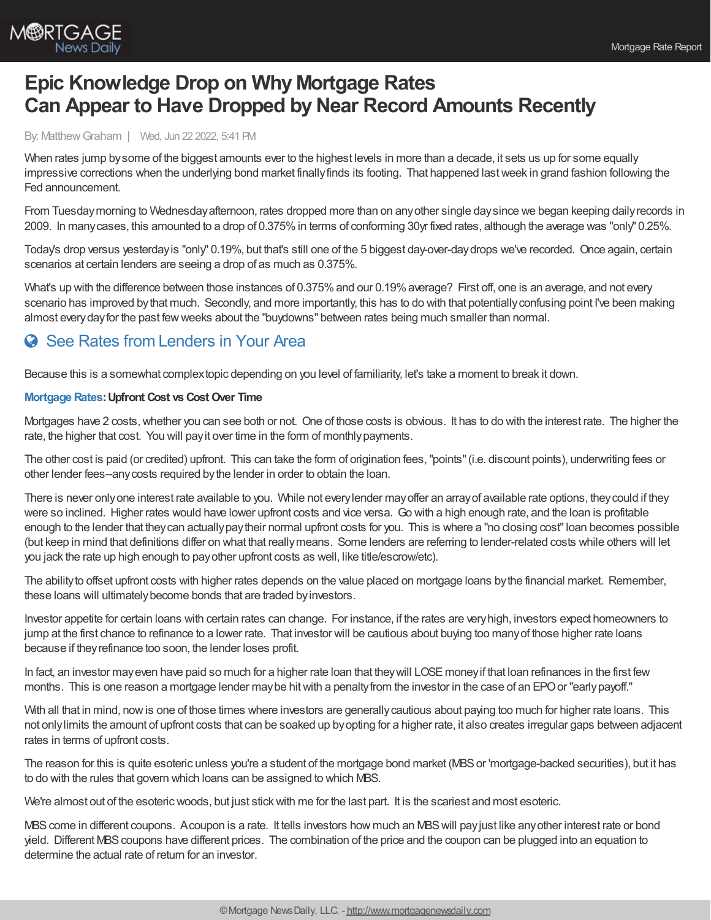

## **Epic Knowledge Drop on Why Mortgage Rates Can Appear to Have Dropped by Near Record Amounts Recently**

By: MatthewGraham | Wed, Jun 22 2022, 5:41 PM

When rates jump bysome of the biggest amounts ever to the highest levels in more than a decade, it sets us up for some equally impressive corrections when the underlying bond market finallyfinds its footing. That happened lastweek in grand fashion following the Fed announcement.

From Tuesdaymorning to Wednesdayafternoon, rates dropped more than on anyother single daysince we began keeping dailyrecords in 2009. In manycases, this amounted to a drop of 0.375%in terms of conforming 30yr fixed rates, although the average was "only" 0.25%.

Today's drop versus yesterdayis "only" 0.19%, but that's still one of the 5 biggest day-over-daydrops we've recorded. Once again, certain scenarios at certain lenders are seeing a drop of as much as 0.375%.

What's up with the difference between those instances of 0.375% and our 0.19% average? First off, one is an average, and not every scenario has improved bythat much. Secondly, and more importantly, this has to do with that potentiallyconfusing point I've been making almost everydayfor the past fewweeks about the "buydowns" between rates being much smaller than normal.

## **C** See Rates from [Lenders](https://www.mortgagenewsdaily.com/mortgage-rates?srt=true) in Your Area

Because this is a somewhat complextopic depending on you level of familiarity, let's take a moment to break it down.

## **[Mortgage](https://www.mortgagenewsdaily.com/mortgage-rates) Rates: Upfront Cost vs Cost Over Time**

Mortgages have 2 costs,whether you can see both or not. One of those costs is obvious. It has to do with the interest rate. The higher the rate, the higher that cost. You will payit over time in the form of monthlypayments.

The other cost is paid (or credited) upfront. This can take the form of origination fees,"points"(i.e. discount points), underwriting fees or other lender fees--anycosts required bythe lender in order to obtain the loan.

There is never onlyone interest rate available to you. While not everylender mayoffer an arrayof available rate options, theycould if they were so inclined. Higher rates would have lower upfront costs and vice versa. Go with a high enough rate, and the loan is profitable enough to the lender that theycan actuallypaytheir normal upfront costs for you. This is where a "no closing cost"loan becomes possible (but keep in mind that definitions differ on what that reallymeans. Some lenders are referring to lender-related costs while others will let you jack the rate up high enough to payother upfront costs as well, like title/escrow/etc).

The ability to offset upfront costs with higher rates depends on the value placed on mortgage loans by the financial market. Remember, these loans will ultimatelybecome bonds that are traded byinvestors.

Investor appetite for certain loans with certain rates can change. For instance, if the rates are veryhigh, investors expect homeowners to jump at the first chance to refinance to a lower rate. That investor will be cautious about buying too manyof those higher rate loans because if theyrefinance too soon, the lender loses profit.

In fact, an investor may even have paid so much for a higher rate loan that they will LOSE money if that loan refinances in the first few months. This is one reason a mortgage lender may be hit with a penalty from the investor in the case of an EPO or "early payoff."

With all that in mind, now is one of those times where investors are generally cautious about paying too much for higher rate loans. This not onlylimits the amount of upfront costs that can be soaked up byopting for a higher rate, it also creates irregular gaps between adjacent rates in terms of upfront costs.

The reason for this is quite esoteric unless you're a student of the mortgage bond market (MBSor 'mortgage-backed securities), but it has to do with the rules that govern which loans can be assigned to which MBS.

We're almost out of the esoteric woods, but just stick with me for the last part. It is the scariest and most esoteric.

MBS come in different coupons. Acoupon is a rate. It tells investors how much an MBS will pay just like any other interest rate or bond yield. Different MBScoupons have different prices. The combination of the price and the coupon can be plugged into an equation to determine the actual rate of return for an investor.